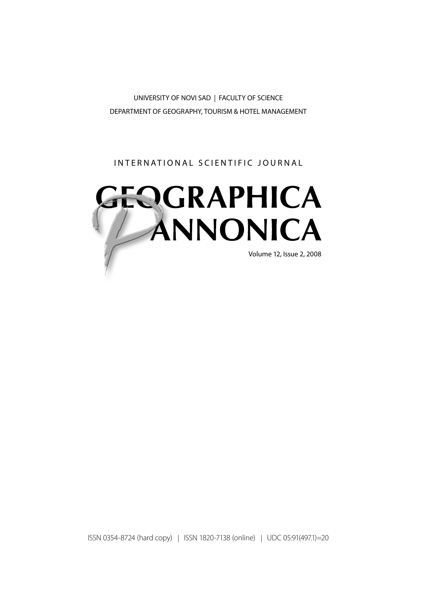UNIVERSITY OF NOVI SAD | FACULTY OF SCIENCE DEPARTMENT OF GEOGRAPHY, TOURISM & HOTEL MANAGEMENT

INTERNATIONAL SCIENTIFIC JOURNAL



ISSN 0354-8724 (hard copy) | ISSN 1820-7138 (online) | UDC 05:91(497.1)=20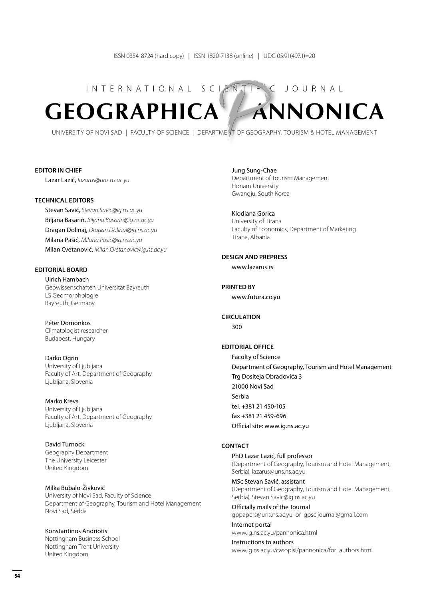# INTERNATIONAL SCIENTIFIC JOURNAL **GEOGRAPHICA ANNONICA**

UNIVERSITY OF NOVI SAD | FACULTY OF SCIENCE | DEPARTMENT OF GEOGRAPHY, TOURISM & HOTEL MANAGEMENT

#### **Editor in Chief**

Lazar Lazić, *lazarus@uns.ns.ac.yu*

### **Technical Editors**

Stevan Savić, *Stevan.Savic@ig.ns.ac.yu* Biljana Basarin, *Biljana.Basarin@ig.ns.ac.yu* Dragan Dolinaj, *Dragan.Dolinaj@ig.ns.ac.yu* Milana Pašić, *Milana.Pasic@ig.ns.ac.yu* Milan Cvetanović, *Milan.Cvetanovic@ig.ns.ac.yu*

#### **Editorial Board**

Ulrich Hambach Geowissenschaften Universität Bayreuth LS Geomorphologie Bayreuth, Germany

Péter Domonkos Climatologist researcher Budapest, Hungary

Darko Ogrin University of Ljubljana Faculty of Art, Department of Geography Ljubljana, Slovenia

Marko Krevs University of Ljubljana Faculty of Art, Department of Geography Ljubljana, Slovenia

David Turnock Geography Department The University Leicester United Kingdom

Milka Bubalo-Živković University of Novi Sad, Faculty of Science Department of Geography, Tourism and Hotel Management Novi Sad, Serbia

Konstantinos Andriotis Nottingham Business School Nottingham Trent University United Kingdom

Jung Sung-Chae Department of Tourism Management Honam University Gwangju, South Korea

Klodiana Gorica University of Tirana Faculty of Economics, Department of Marketing Tirana, Albania

#### **Design and Prepress**

www.lazarus.rs

**Printed by** www.futura.co.yu

**Circulation**

300

### **Editorial Office**

Faculty of Science Department of Geography, Tourism and Hotel Management Trg Dositeja Obradovića 3 21000 Novi Sad Serbia tel. +381 21 450-105 fax +381 21 459-696 Official site: www.ig.ns.ac.yu

#### **CONTACT**

PhD Lazar Lazić, full professor (Department of Geography, Tourism and Hotel Management, Serbia), lazarus@uns.ns.ac.yu

MSc Stevan Savić, assistant (Department of Geography, Tourism and Hotel Management, Serbia), Stevan.Savic@ig.ns.ac.yu

Officially mails of the Journal gppapers@uns.ns.ac.yu or gpscijournal@gmail.com

Internet portal www.ig.ns.ac.yu/pannonica.html

Instructions to authors www.ig.ns.ac.yu/casopisi/pannonica/for\_authors.html